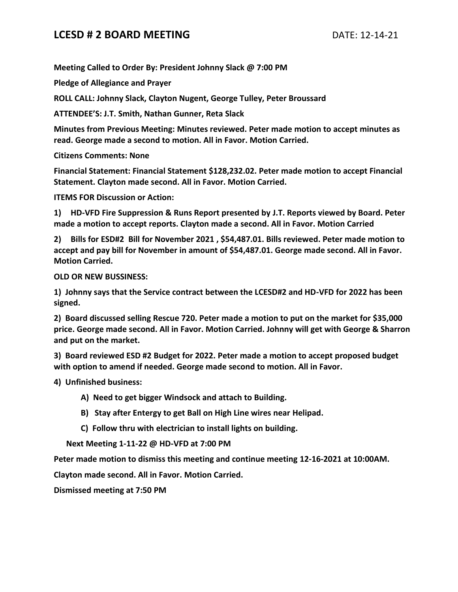## **LCESD # 2 BOARD MEETING** DATE: 12-14-21

**Meeting Called to Order By: President Johnny Slack @ 7:00 PM**

**Pledge of Allegiance and Prayer**

**ROLL CALL: Johnny Slack, Clayton Nugent, George Tulley, Peter Broussard**

**ATTENDEE'S: J.T. Smith, Nathan Gunner, Reta Slack**

**Minutes from Previous Meeting: Minutes reviewed. Peter made motion to accept minutes as read. George made a second to motion. All in Favor. Motion Carried.**

**Citizens Comments: None**

**Financial Statement: Financial Statement \$128,232.02. Peter made motion to accept Financial Statement. Clayton made second. All in Favor. Motion Carried.**

**ITEMS FOR Discussion or Action:**

**1) HD-VFD Fire Suppression & Runs Report presented by J.T. Reports viewed by Board. Peter made a motion to accept reports. Clayton made a second. All in Favor. Motion Carried**

**2) Bills for ESD#2 Bill for November 2021 , \$54,487.01. Bills reviewed. Peter made motion to accept and pay bill for November in amount of \$54,487.01. George made second. All in Favor. Motion Carried.**

**OLD OR NEW BUSSINESS:**

**1) Johnny says that the Service contract between the LCESD#2 and HD-VFD for 2022 has been signed.**

**2) Board discussed selling Rescue 720. Peter made a motion to put on the market for \$35,000 price. George made second. All in Favor. Motion Carried. Johnny will get with George & Sharron and put on the market.**

**3) Board reviewed ESD #2 Budget for 2022. Peter made a motion to accept proposed budget with option to amend if needed. George made second to motion. All in Favor.**

**4) Unfinished business:**

**A) Need to get bigger Windsock and attach to Building.**

- **B) Stay after Entergy to get Ball on High Line wires near Helipad.**
- **C) Follow thru with electrician to install lights on building.**

 **Next Meeting 1-11-22 @ HD-VFD at 7:00 PM**

**Peter made motion to dismiss this meeting and continue meeting 12-16-2021 at 10:00AM.**

**Clayton made second. All in Favor. Motion Carried.**

**Dismissed meeting at 7:50 PM**